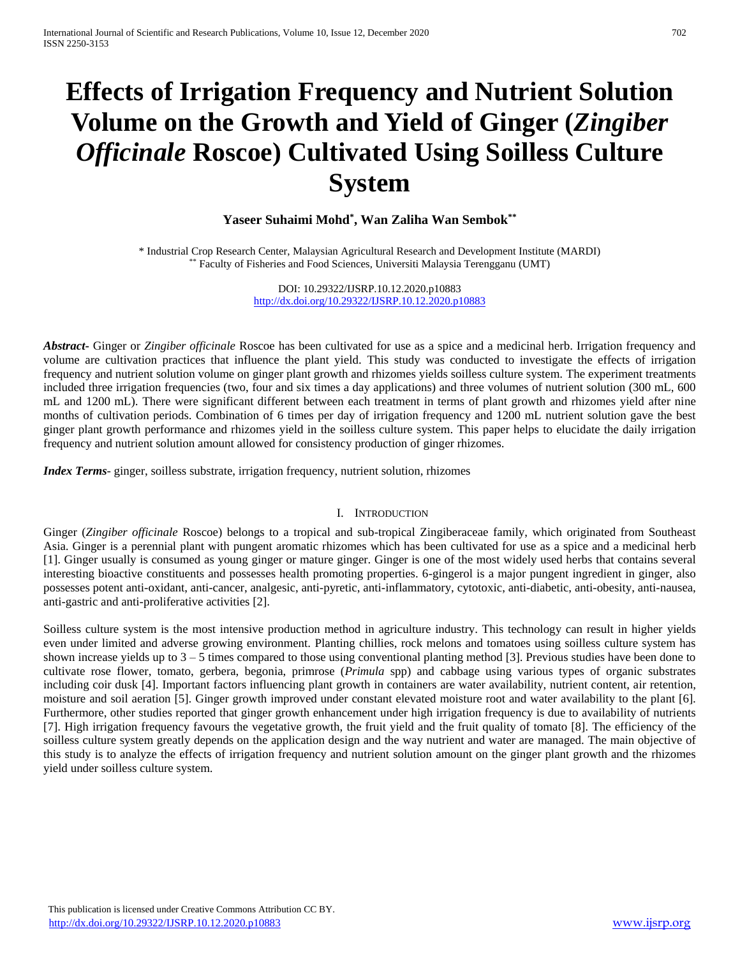# **Effects of Irrigation Frequency and Nutrient Solution Volume on the Growth and Yield of Ginger (***Zingiber Officinale* **Roscoe) Cultivated Using Soilless Culture System**

# **Yaseer Suhaimi Mohd\* , Wan Zaliha Wan Sembok\*\***

\* Industrial Crop Research Center, Malaysian Agricultural Research and Development Institute (MARDI) \*\* Faculty of Fisheries and Food Sciences, Universiti Malaysia Terengganu (UMT)

> DOI: 10.29322/IJSRP.10.12.2020.p10883 <http://dx.doi.org/10.29322/IJSRP.10.12.2020.p10883>

*Abstract***-** Ginger or *Zingiber officinale* Roscoe has been cultivated for use as a spice and a medicinal herb. Irrigation frequency and volume are cultivation practices that influence the plant yield. This study was conducted to investigate the effects of irrigation frequency and nutrient solution volume on ginger plant growth and rhizomes yields soilless culture system. The experiment treatments included three irrigation frequencies (two, four and six times a day applications) and three volumes of nutrient solution (300 mL, 600 mL and 1200 mL). There were significant different between each treatment in terms of plant growth and rhizomes yield after nine months of cultivation periods. Combination of 6 times per day of irrigation frequency and 1200 mL nutrient solution gave the best ginger plant growth performance and rhizomes yield in the soilless culture system. This paper helps to elucidate the daily irrigation frequency and nutrient solution amount allowed for consistency production of ginger rhizomes.

*Index Terms*- ginger, soilless substrate, irrigation frequency, nutrient solution, rhizomes

#### I. INTRODUCTION

Ginger (*Zingiber officinale* Roscoe) belongs to a tropical and sub-tropical Zingiberaceae family, which originated from Southeast Asia. Ginger is a perennial plant with pungent aromatic rhizomes which has been cultivated for use as a spice and a medicinal herb [1]. Ginger usually is consumed as young ginger or mature ginger. Ginger is one of the most widely used herbs that contains several interesting bioactive constituents and possesses health promoting properties. 6-gingerol is a major pungent ingredient in ginger, also possesses potent anti-oxidant, anti-cancer, analgesic, anti-pyretic, anti-inflammatory, cytotoxic, anti-diabetic, anti-obesity, anti-nausea, anti-gastric and anti-proliferative activities [2].

Soilless culture system is the most intensive production method in agriculture industry. This technology can result in higher yields even under limited and adverse growing environment. Planting chillies, rock melons and tomatoes using soilless culture system has shown increase yields up to  $3 - 5$  times compared to those using conventional planting method [3]. Previous studies have been done to cultivate rose flower, tomato, gerbera, begonia, primrose (*Primula* spp) and cabbage using various types of organic substrates including coir dusk [4]. Important factors influencing plant growth in containers are water availability, nutrient content, air retention, moisture and soil aeration [5]. Ginger growth improved under constant elevated moisture root and water availability to the plant [6]. Furthermore, other studies reported that ginger growth enhancement under high irrigation frequency is due to availability of nutrients [7]. High irrigation frequency favours the vegetative growth, the fruit yield and the fruit quality of tomato [8]. The efficiency of the soilless culture system greatly depends on the application design and the way nutrient and water are managed. The main objective of this study is to analyze the effects of irrigation frequency and nutrient solution amount on the ginger plant growth and the rhizomes yield under soilless culture system.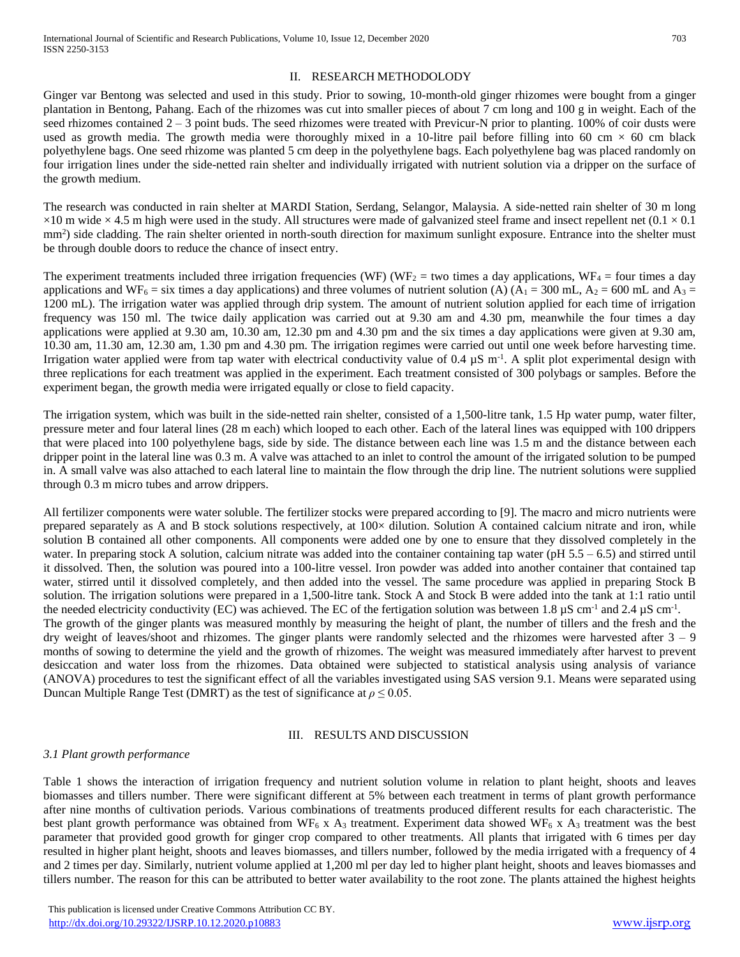#### II. RESEARCH METHODOLODY

Ginger var Bentong was selected and used in this study. Prior to sowing, 10-month-old ginger rhizomes were bought from a ginger plantation in Bentong, Pahang. Each of the rhizomes was cut into smaller pieces of about 7 cm long and 100 g in weight. Each of the seed rhizomes contained  $2 - 3$  point buds. The seed rhizomes were treated with Previcur-N prior to planting. 100% of coir dusts were used as growth media. The growth media were thoroughly mixed in a 10-litre pail before filling into 60 cm  $\times$  60 cm black polyethylene bags. One seed rhizome was planted 5 cm deep in the polyethylene bags. Each polyethylene bag was placed randomly on four irrigation lines under the side-netted rain shelter and individually irrigated with nutrient solution via a dripper on the surface of the growth medium.

The research was conducted in rain shelter at MARDI Station, Serdang, Selangor, Malaysia. A side-netted rain shelter of 30 m long  $\times$ 10 m wide  $\times$  4.5 m high were used in the study. All structures were made of galvanized steel frame and insect repellent net (0.1  $\times$  0.1 mm<sup>2</sup>) side cladding. The rain shelter oriented in north-south direction for maximum sunlight exposure. Entrance into the shelter must be through double doors to reduce the chance of insect entry.

The experiment treatments included three irrigation frequencies (WF) (WF<sub>2</sub> = two times a day applications, WF<sub>4</sub> = four times a day applications and WF<sub>6</sub> = six times a day applications) and three volumes of nutrient solution (A) ( $A_1 = 300$  mL,  $A_2 = 600$  mL and  $A_3 =$ 1200 mL). The irrigation water was applied through drip system. The amount of nutrient solution applied for each time of irrigation frequency was 150 ml. The twice daily application was carried out at 9.30 am and 4.30 pm, meanwhile the four times a day applications were applied at 9.30 am, 10.30 am, 12.30 pm and 4.30 pm and the six times a day applications were given at 9.30 am, 10.30 am, 11.30 am, 12.30 am, 1.30 pm and 4.30 pm. The irrigation regimes were carried out until one week before harvesting time. Irrigation water applied were from tap water with electrical conductivity value of 0.4  $\mu$ S m<sup>-1</sup>. A split plot experimental design with three replications for each treatment was applied in the experiment. Each treatment consisted of 300 polybags or samples. Before the experiment began, the growth media were irrigated equally or close to field capacity.

The irrigation system, which was built in the side-netted rain shelter, consisted of a 1,500-litre tank, 1.5 Hp water pump, water filter, pressure meter and four lateral lines (28 m each) which looped to each other. Each of the lateral lines was equipped with 100 drippers that were placed into 100 polyethylene bags, side by side. The distance between each line was 1.5 m and the distance between each dripper point in the lateral line was 0.3 m. A valve was attached to an inlet to control the amount of the irrigated solution to be pumped in. A small valve was also attached to each lateral line to maintain the flow through the drip line. The nutrient solutions were supplied through 0.3 m micro tubes and arrow drippers.

All fertilizer components were water soluble. The fertilizer stocks were prepared according to [9]. The macro and micro nutrients were prepared separately as A and B stock solutions respectively, at 100× dilution. Solution A contained calcium nitrate and iron, while solution B contained all other components. All components were added one by one to ensure that they dissolved completely in the water. In preparing stock A solution, calcium nitrate was added into the container containing tap water (pH  $5.5 - 6.5$ ) and stirred until it dissolved. Then, the solution was poured into a 100-litre vessel. Iron powder was added into another container that contained tap water, stirred until it dissolved completely, and then added into the vessel. The same procedure was applied in preparing Stock B solution. The irrigation solutions were prepared in a 1,500-litre tank. Stock A and Stock B were added into the tank at 1:1 ratio until the needed electricity conductivity (EC) was achieved. The EC of the fertigation solution was between 1.8  $\mu$ S cm<sup>-1</sup> and 2.4  $\mu$ S cm<sup>-1</sup>. The growth of the ginger plants was measured monthly by measuring the height of plant, the number of tillers and the fresh and the dry weight of leaves/shoot and rhizomes. The ginger plants were randomly selected and the rhizomes were harvested after  $3 - 9$ months of sowing to determine the yield and the growth of rhizomes. The weight was measured immediately after harvest to prevent desiccation and water loss from the rhizomes. Data obtained were subjected to statistical analysis using analysis of variance (ANOVA) procedures to test the significant effect of all the variables investigated using SAS version 9.1. Means were separated using

III. RESULTS AND DISCUSSION

# *3.1 Plant growth performance*

Table 1 shows the interaction of irrigation frequency and nutrient solution volume in relation to plant height, shoots and leaves biomasses and tillers number. There were significant different at 5% between each treatment in terms of plant growth performance after nine months of cultivation periods. Various combinations of treatments produced different results for each characteristic. The best plant growth performance was obtained from WF<sub>6</sub> x A<sub>3</sub> treatment. Experiment data showed WF<sub>6</sub> x A<sub>3</sub> treatment was the best parameter that provided good growth for ginger crop compared to other treatments. All plants that irrigated with 6 times per day resulted in higher plant height, shoots and leaves biomasses, and tillers number, followed by the media irrigated with a frequency of 4 and 2 times per day. Similarly, nutrient volume applied at 1,200 ml per day led to higher plant height, shoots and leaves biomasses and tillers number. The reason for this can be attributed to better water availability to the root zone. The plants attained the highest heights

Duncan Multiple Range Test (DMRT) as the test of significance at  $\rho \le 0.05$ .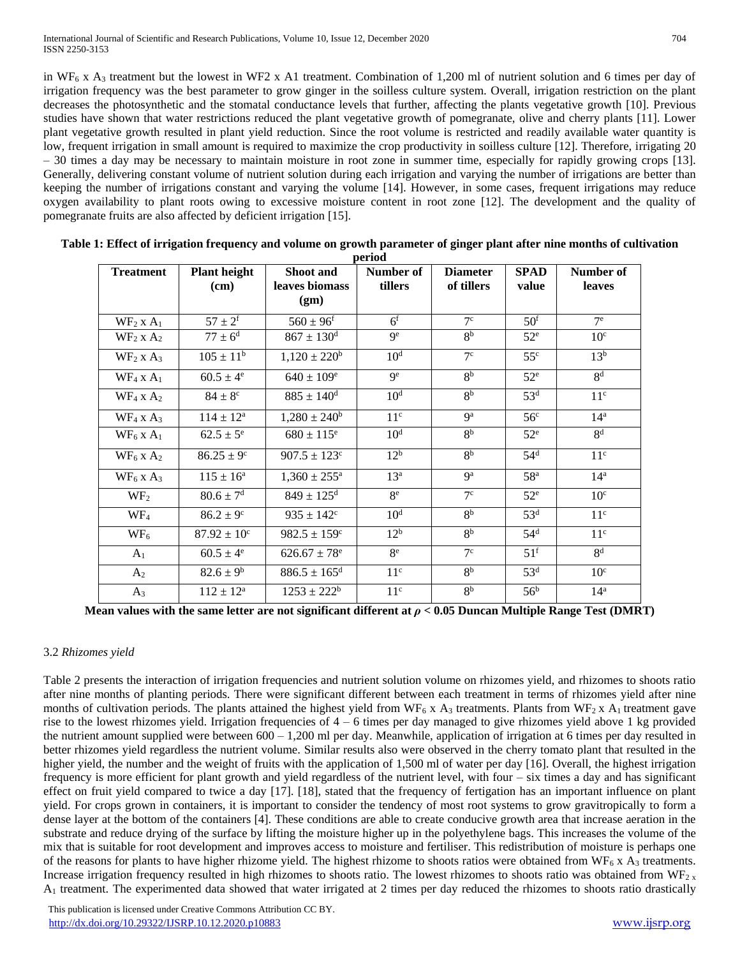in WF<sub>6</sub> x A<sub>3</sub> treatment but the lowest in WF2 x A1 treatment. Combination of 1,200 ml of nutrient solution and 6 times per day of irrigation frequency was the best parameter to grow ginger in the soilless culture system. Overall, irrigation restriction on the plant decreases the photosynthetic and the stomatal conductance levels that further, affecting the plants vegetative growth [10]. Previous studies have shown that water restrictions reduced the plant vegetative growth of pomegranate, olive and cherry plants [11]. Lower plant vegetative growth resulted in plant yield reduction. Since the root volume is restricted and readily available water quantity is low, frequent irrigation in small amount is required to maximize the crop productivity in soilless culture [12]. Therefore, irrigating 20 – 30 times a day may be necessary to maintain moisture in root zone in summer time, especially for rapidly growing crops [13]. Generally, delivering constant volume of nutrient solution during each irrigation and varying the number of irrigations are better than keeping the number of irrigations constant and varying the volume [14]. However, in some cases, frequent irrigations may reduce oxygen availability to plant roots owing to excessive moisture content in root zone [12]. The development and the quality of pomegranate fruits are also affected by deficient irrigation [15].

| <b>Treatment</b>        | <b>Plant height</b>    | <b>Shoot</b> and             | Number of       | <b>Diameter</b> | <b>SPAD</b>       | Number of       |
|-------------------------|------------------------|------------------------------|-----------------|-----------------|-------------------|-----------------|
|                         | (cm)                   | leaves biomass               | tillers         | of tillers      | value             | leaves          |
|                         |                        | (gm)                         |                 |                 |                   |                 |
| $WF_2$ x $A_1$          | $57 \pm 2^{f}$         | $560 \pm 96^{\rm f}$         | 6 <sup>f</sup>  | 7 <sup>c</sup>  | 50 <sup>f</sup>   | $7^{\rm e}$     |
| $WF_2$ x $A_2$          | $77 \pm 6^{\rm d}$     | $867 \pm 130$ <sup>d</sup>   | $\mathbf{Q}^e$  | 8 <sup>b</sup>  | $52^{\circ}$      | 10 <sup>c</sup> |
| $WF_2$ x $A_3$          | $105 \pm 11^b$         | $1,120 \pm 220^b$            | 10 <sup>d</sup> | 7 <sup>c</sup>  | 55 <sup>c</sup>   | 13 <sup>b</sup> |
| $WF_4$ x $A_1$          | $60.5 \pm 4^e$         | $640 \pm 109^e$              | 9 <sup>e</sup>  | 8 <sup>b</sup>  | $52^e$            | 8 <sup>d</sup>  |
| $WF_4$ x $A_2$          | $84 \pm 8^{\circ}$     | $885 \pm 140$ <sup>d</sup>   | 10 <sup>d</sup> | 8 <sup>b</sup>  | 53 <sup>d</sup>   | 11 <sup>c</sup> |
| $WF_4$ x $A_3$          | $114 \pm 12^{\rm a}$   | $1,280 \pm 240^b$            | 11 <sup>c</sup> | 9 <sup>a</sup>  | 56 <sup>c</sup>   | $14^a$          |
| $WF_6$ x A <sub>1</sub> | $62.5 \pm 5^e$         | $680 \pm 115^e$              | 10 <sup>d</sup> | 8 <sup>b</sup>  | $52^e$            | 8 <sup>d</sup>  |
| $WF_6$ x $A_2$          | $86.25 \pm 9^{\circ}$  | $907.5 \pm 123$ <sup>c</sup> | 12 <sup>b</sup> | 8 <sup>b</sup>  | 54 <sup>d</sup>   | 11 <sup>c</sup> |
| $WF_6$ x A <sub>3</sub> | $115 \pm 16^{\rm a}$   | $1,360 \pm 255^{\text{a}}$   | 13 <sup>a</sup> | <b>g</b> a      | 58 <sup>a</sup>   | 14 <sup>a</sup> |
| WF <sub>2</sub>         | $80.6 \pm 7^{\rm d}$   | $849 \pm 125$ <sup>d</sup>   | 8 <sup>e</sup>  | 7 <sup>c</sup>  | $52^e$            | 10 <sup>c</sup> |
| WF <sub>4</sub>         | $86.2 \pm 9^{\circ}$   | $935 \pm 142^{\circ}$        | $10^d$          | 8 <sup>b</sup>  | 53 <sup>d</sup>   | 11 <sup>c</sup> |
| $WF_6$                  | $87.92 \pm 10^{\circ}$ | $982.5 \pm 159^{\circ}$      | 12 <sup>b</sup> | 8 <sup>b</sup>  | 54 <sup>d</sup>   | 11 <sup>c</sup> |
| A <sub>1</sub>          | $60.5 \pm 4^e$         | $626.67 \pm 78$ <sup>e</sup> | $8^e$           | 7 <sup>c</sup>  | $51^{\mathrm{f}}$ | 8 <sup>d</sup>  |
| $A_2$                   | $82.6 \pm 9^b$         | $886.5 \pm 165$ <sup>d</sup> | 11 <sup>c</sup> | 8 <sup>b</sup>  | 53 <sup>d</sup>   | 10 <sup>c</sup> |
| $A_3$                   | $112 \pm 12^a$         | $1253 \pm 222^b$             | 11 <sup>c</sup> | 8 <sup>b</sup>  | 56 <sup>b</sup>   | $14^a$          |

| Table 1: Effect of irrigation frequency and volume on growth parameter of ginger plant after nine months of cultivation |
|-------------------------------------------------------------------------------------------------------------------------|
| period                                                                                                                  |

**Mean values with the same letter are not significant different at** *ρ* **< 0.05 Duncan Multiple Range Test (DMRT)**

# 3.2 *Rhizomes yield*

Table 2 presents the interaction of irrigation frequencies and nutrient solution volume on rhizomes yield, and rhizomes to shoots ratio after nine months of planting periods. There were significant different between each treatment in terms of rhizomes yield after nine months of cultivation periods. The plants attained the highest yield from WF<sub>6</sub> x A<sub>3</sub> treatments. Plants from WF<sub>2</sub> x A<sub>1</sub> treatment gave rise to the lowest rhizomes yield. Irrigation frequencies of 4 – 6 times per day managed to give rhizomes yield above 1 kg provided the nutrient amount supplied were between  $600 - 1,200$  ml per day. Meanwhile, application of irrigation at 6 times per day resulted in better rhizomes yield regardless the nutrient volume. Similar results also were observed in the cherry tomato plant that resulted in the higher yield, the number and the weight of fruits with the application of 1,500 ml of water per day [16]. Overall, the highest irrigation frequency is more efficient for plant growth and yield regardless of the nutrient level, with four – six times a day and has significant effect on fruit yield compared to twice a day [17]. [18], stated that the frequency of fertigation has an important influence on plant yield. For crops grown in containers, it is important to consider the tendency of most root systems to grow gravitropically to form a dense layer at the bottom of the containers [4]. These conditions are able to create conducive growth area that increase aeration in the substrate and reduce drying of the surface by lifting the moisture higher up in the polyethylene bags. This increases the volume of the mix that is suitable for root development and improves access to moisture and fertiliser. This redistribution of moisture is perhaps one of the reasons for plants to have higher rhizome yield. The highest rhizome to shoots ratios were obtained from  $WF_6$  x  $A_3$  treatments. Increase irrigation frequency resulted in high rhizomes to shoots ratio. The lowest rhizomes to shoots ratio was obtained from WF<sub>2</sub> x  $A_1$  treatment. The experimented data showed that water irrigated at 2 times per day reduced the rhizomes to shoots ratio drastically

 This publication is licensed under Creative Commons Attribution CC BY. <http://dx.doi.org/10.29322/IJSRP.10.12.2020.p10883> [www.ijsrp.org](http://ijsrp.org/)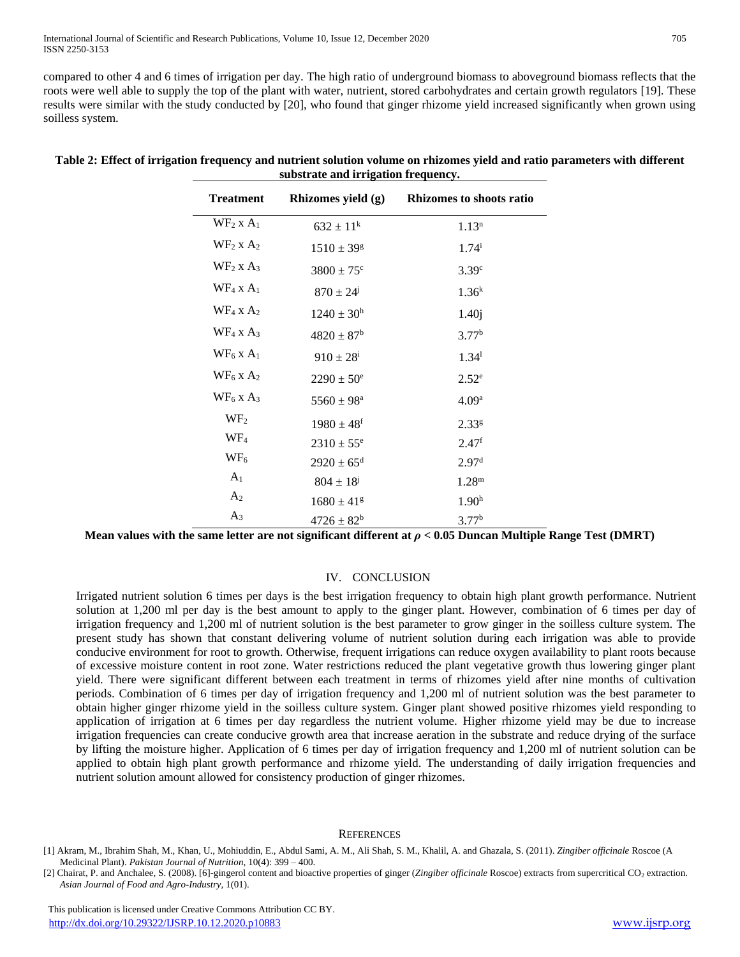compared to other 4 and 6 times of irrigation per day. The high ratio of underground biomass to aboveground biomass reflects that the roots were well able to supply the top of the plant with water, nutrient, stored carbohydrates and certain growth regulators [19]. These results were similar with the study conducted by [20], who found that ginger rhizome yield increased significantly when grown using soilless system.

| <b>Treatment</b>       | Rhizomes yield (g)         | <b>Rhizomes to shoots ratio</b> |
|------------------------|----------------------------|---------------------------------|
| $WF_2$ x $A_1$         | $632 \pm 11^k$             | 1.13 <sup>n</sup>               |
| $WF_2$ x $A_2$         | $1510 \pm 39$ <sup>g</sup> | $1.74^{i}$                      |
| $WF2$ x A <sub>3</sub> | $3800 \pm 75$ <sup>c</sup> | 3.39 <sup>c</sup>               |
| $WF_4$ x $A_1$         | $870 \pm 24^{\circ}$       | 1.36 <sup>k</sup>               |
| $WF_4$ x $A_2$         | $1240 \pm 30^{\rm h}$      | 1.40j                           |
| $WF_4$ x $A_3$         | $4820 \pm 87$ <sup>b</sup> | 3.77 <sup>b</sup>               |
| $WF6$ x A <sub>1</sub> | $910 \pm 28^{\rm i}$       | 1.34 <sup>1</sup>               |
| $WF_6$ x $A_2$         | $2290 \pm 50^{\circ}$      | 2.52 <sup>e</sup>               |
| $WF_6$ x $A_3$         | $5560 \pm 98^{\rm a}$      | 4.09 <sup>a</sup>               |
| WF <sub>2</sub>        | $1980 \pm 48$ <sup>f</sup> | 2.33 <sup>g</sup>               |
| WF <sub>4</sub>        | $2310 \pm 55^e$            | 2.47 <sup>f</sup>               |
| $WF_6$                 | $2920 \pm 65^{\rm d}$      | 2.97 <sup>d</sup>               |
| A <sub>1</sub>         | $804 \pm 18^{j}$           | $1.28^{\rm m}$                  |
| A <sub>2</sub>         | $1680 \pm 41$ <sup>g</sup> | 1.90 <sup>h</sup>               |
| $A_3$                  | $4726 \pm 82^b$            | 3.77 <sup>b</sup>               |

#### **Table 2: Effect of irrigation frequency and nutrient solution volume on rhizomes yield and ratio parameters with different substrate and irrigation frequency.**

**Mean values with the same letter are not significant different at** *ρ* **< 0.05 Duncan Multiple Range Test (DMRT)**

# IV. CONCLUSION

Irrigated nutrient solution 6 times per days is the best irrigation frequency to obtain high plant growth performance. Nutrient solution at 1,200 ml per day is the best amount to apply to the ginger plant. However, combination of 6 times per day of irrigation frequency and 1,200 ml of nutrient solution is the best parameter to grow ginger in the soilless culture system. The present study has shown that constant delivering volume of nutrient solution during each irrigation was able to provide conducive environment for root to growth. Otherwise, frequent irrigations can reduce oxygen availability to plant roots because of excessive moisture content in root zone. Water restrictions reduced the plant vegetative growth thus lowering ginger plant yield. There were significant different between each treatment in terms of rhizomes yield after nine months of cultivation periods. Combination of 6 times per day of irrigation frequency and 1,200 ml of nutrient solution was the best parameter to obtain higher ginger rhizome yield in the soilless culture system. Ginger plant showed positive rhizomes yield responding to application of irrigation at 6 times per day regardless the nutrient volume. Higher rhizome yield may be due to increase irrigation frequencies can create conducive growth area that increase aeration in the substrate and reduce drying of the surface by lifting the moisture higher. Application of 6 times per day of irrigation frequency and 1,200 ml of nutrient solution can be applied to obtain high plant growth performance and rhizome yield. The understanding of daily irrigation frequencies and nutrient solution amount allowed for consistency production of ginger rhizomes.

#### **REFERENCES**

<sup>[1]</sup> Akram, M., Ibrahim Shah, M., Khan, U., Mohiuddin, E., Abdul Sami, A. M., Ali Shah, S. M., Khalil, A. and Ghazala, S. (2011). *Zingiber officinale* Roscoe (A Medicinal Plant). *Pakistan Journal of Nutrition*, 10(4): 399 – 400.

<sup>[2]</sup> Chairat, P. and Anchalee, S. (2008). [6]-gingerol content and bioactive properties of ginger (*Zingiber officinale* Roscoe) extracts from supercritical CO<sup>2</sup> extraction. *Asian Journal of Food and Agro-Industry,* 1(01).